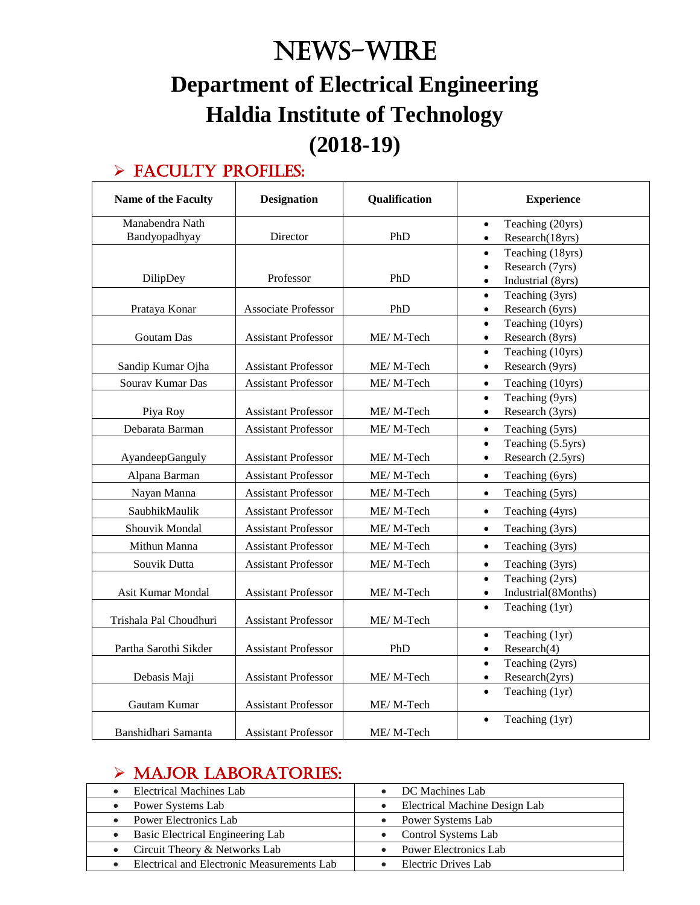# News-WIRE **Department of Electrical Engineering Haldia Institute of Technology (2018-19)**

## $\triangleright$  FACULTY PROFILES:

| Name of the Faculty    | <b>Designation</b>         | Qualification | <b>Experience</b>                                             |
|------------------------|----------------------------|---------------|---------------------------------------------------------------|
| Manabendra Nath        |                            |               | Teaching (20yrs)<br>$\bullet$                                 |
| Bandyopadhyay          | Director                   | PhD           | Research(18yrs)<br>$\bullet$                                  |
|                        |                            |               | Teaching (18yrs)<br>$\bullet$                                 |
|                        |                            |               | Research (7yrs)<br>$\bullet$                                  |
| DilipDey               | Professor                  | PhD           | Industrial (8yrs)<br>$\bullet$                                |
|                        |                            |               | Teaching (3yrs)<br>$\bullet$                                  |
| Prataya Konar          | Associate Professor        | PhD           | Research (6yrs)<br>$\bullet$                                  |
|                        |                            |               | Teaching (10yrs)<br>$\bullet$                                 |
| Goutam Das             | <b>Assistant Professor</b> | ME/M-Tech     | Research (8yrs)<br>$\bullet$<br>Teaching (10yrs)<br>$\bullet$ |
| Sandip Kumar Ojha      | <b>Assistant Professor</b> | ME/M-Tech     | Research (9yrs)<br>$\bullet$                                  |
| Sourav Kumar Das       | <b>Assistant Professor</b> | ME/M-Tech     | $\bullet$                                                     |
|                        |                            |               | Teaching (10yrs)<br>Teaching (9yrs)<br>$\bullet$              |
| Piya Roy               | <b>Assistant Professor</b> | ME/M-Tech     | Research (3yrs)<br>$\bullet$                                  |
| Debarata Barman        | <b>Assistant Professor</b> | ME/M-Tech     | Teaching (5yrs)<br>$\bullet$                                  |
|                        |                            |               | Teaching (5.5yrs)<br>$\bullet$                                |
| AyandeepGanguly        | <b>Assistant Professor</b> | ME/M-Tech     | Research (2.5yrs)<br>$\bullet$                                |
| Alpana Barman          | <b>Assistant Professor</b> | ME/M-Tech     | Teaching (6yrs)<br>$\bullet$                                  |
| Nayan Manna            | <b>Assistant Professor</b> | ME/M-Tech     | Teaching (5yrs)<br>$\bullet$                                  |
| SaubhikMaulik          | <b>Assistant Professor</b> | ME/M-Tech     | Teaching (4yrs)<br>$\bullet$                                  |
| Shouvik Mondal         | <b>Assistant Professor</b> | ME/M-Tech     | Teaching (3yrs)<br>$\bullet$                                  |
| Mithun Manna           | <b>Assistant Professor</b> | ME/M-Tech     | Teaching (3yrs)<br>$\bullet$                                  |
| Souvik Dutta           | <b>Assistant Professor</b> | ME/M-Tech     | Teaching (3yrs)<br>$\bullet$                                  |
|                        |                            |               | Teaching (2yrs)<br>$\bullet$                                  |
| Asit Kumar Mondal      | <b>Assistant Professor</b> | ME/M-Tech     | Industrial(8Months)<br>$\bullet$                              |
| Trishala Pal Choudhuri | <b>Assistant Professor</b> | ME/M-Tech     | Teaching (1yr)<br>$\bullet$                                   |
|                        |                            |               | Teaching (1yr)<br>$\bullet$                                   |
| Partha Sarothi Sikder  | <b>Assistant Professor</b> | PhD           | Research(4)<br>$\bullet$                                      |
|                        |                            |               | Teaching (2yrs)<br>$\bullet$                                  |
| Debasis Maji           | <b>Assistant Professor</b> | ME/M-Tech     | Research(2yrs)<br>$\bullet$                                   |
|                        |                            |               | Teaching (1yr)<br>$\bullet$                                   |
| Gautam Kumar           | <b>Assistant Professor</b> | ME/M-Tech     |                                                               |
| Banshidhari Samanta    | <b>Assistant Professor</b> | ME/M-Tech     | Teaching (1yr)<br>$\bullet$                                   |

### > MAJOR LABORATORIES:

| Electrical Machines Lab                    | DC Machines Lab                 |
|--------------------------------------------|---------------------------------|
| • Power Systems Lab                        | • Electrical Machine Design Lab |
| • Power Electronics Lab                    | • Power Systems Lab             |
| • Basic Electrical Engineering Lab         | • Control Systems Lab           |
| • Circuit Theory $&$ Networks Lab          | <b>Power Electronics Lab</b>    |
| Electrical and Electronic Measurements Lab | Electric Drives Lab             |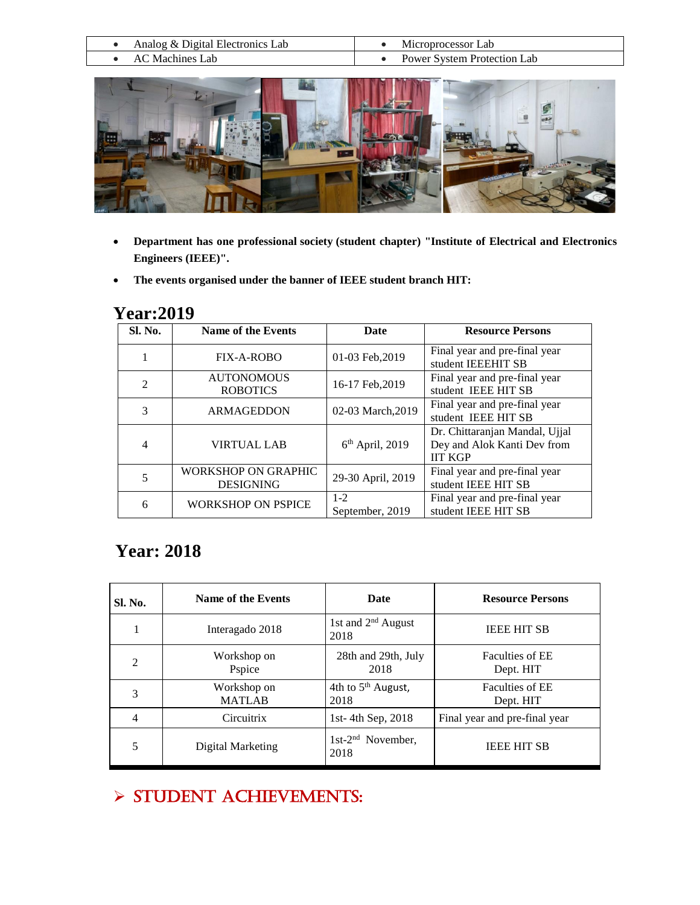|                 | Analog & Digital Electronics Lab | Microprocessor Lab          |
|-----------------|----------------------------------|-----------------------------|
| AC Machines Lab |                                  | Power System Protection Lab |



- **Department has one professional society (student chapter) "Institute of Electrical and Electronics Engineers (IEEE)".**
- **The events organised under the banner of IEEE student branch HIT:**

| Sl. No.        | <b>Name of the Events</b>               | Date                       | <b>Resource Persons</b>                                                         |
|----------------|-----------------------------------------|----------------------------|---------------------------------------------------------------------------------|
|                | FIX-A-ROBO                              | 01-03 Feb, 2019            | Final year and pre-final year<br>student IEEEHIT SB                             |
| $\overline{2}$ | <b>AUTONOMOUS</b><br><b>ROBOTICS</b>    | 16-17 Feb, 2019            | Final year and pre-final year<br>student IEEE HIT SB                            |
| 3              | <b>ARMAGEDDON</b>                       | 02-03 March.2019           | Final year and pre-final year<br>student IEEE HIT SB                            |
| 4              | VIRTUAL LAB                             | $6th$ April, 2019          | Dr. Chittaranjan Mandal, Ujjal<br>Dey and Alok Kanti Dev from<br><b>IIT KGP</b> |
| 5              | WORKSHOP ON GRAPHIC<br><b>DESIGNING</b> | 29-30 April, 2019          | Final year and pre-final year<br>student IEEE HIT SB                            |
| 6              | <b>WORKSHOP ON PSPICE</b>               | $1 - 2$<br>September, 2019 | Final year and pre-final year<br>student IEEE HIT SB                            |

### **Year:2019**

## **Year: 2018**

| Sl. No.        | Name of the Events           | Date                                   | <b>Resource Persons</b>             |
|----------------|------------------------------|----------------------------------------|-------------------------------------|
|                | Interagado 2018              | 1st and $2nd$ August<br>2018           | <b>IEEE HIT SB</b>                  |
| $\mathfrak{D}$ | Workshop on<br>Pspice        | 28th and 29th, July<br>2018            | <b>Faculties of EE</b><br>Dept. HIT |
| 3              | Workshop on<br><b>MATLAB</b> | 4th to 5 <sup>th</sup> August,<br>2018 | <b>Faculties of EE</b><br>Dept. HIT |
| 4              | Circuitrix                   | 1st-4th Sep, 2018                      | Final year and pre-final year       |
| 5              | Digital Marketing            | 1st-2 <sup>nd</sup> November,<br>2018  | <b>IEEE HIT SB</b>                  |

# $>$  STUDENT ACHIEVEMENTS: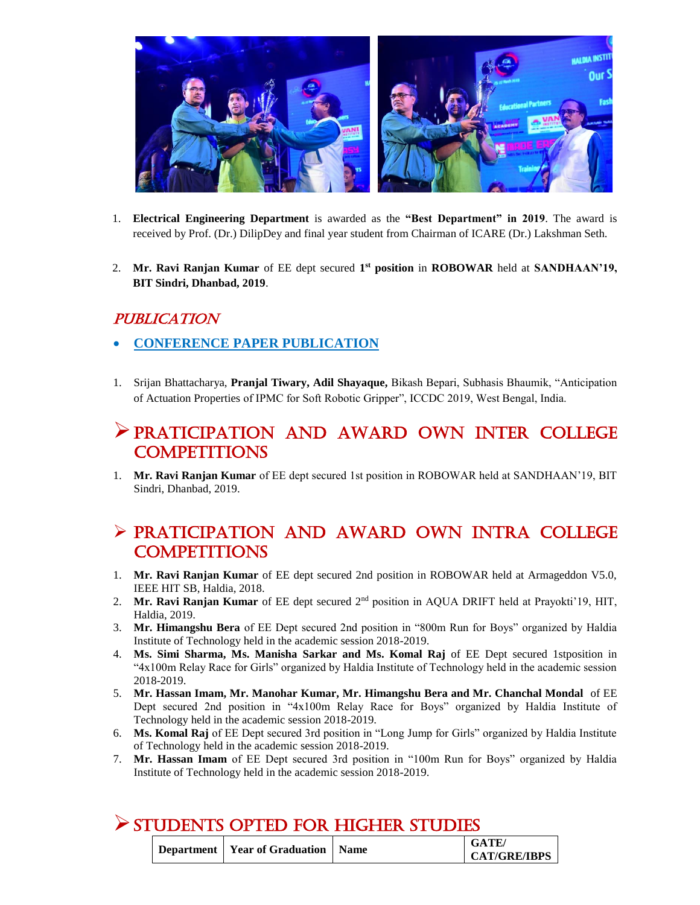

- 1. **Electrical Engineering Department** is awarded as the **"Best Department" in 2019**. The award is received by Prof. (Dr.) DilipDey and final year student from Chairman of ICARE (Dr.) Lakshman Seth.
- 2. Mr. Ravi Ranjan Kumar of EE dept secured 1<sup>st</sup> position in ROBOWAR held at SANDHAAN'19, **BIT Sindri, Dhanbad, 2019**.

#### PUBLICATION

- **CONFERENCE PAPER PUBLICATION**
- 1. Srijan Bhattacharya, **Pranjal Tiwary, Adil Shayaque,** Bikash Bepari, Subhasis Bhaumik, "Anticipation of Actuation Properties of IPMC for Soft Robotic Gripper", ICCDC 2019, West Bengal, India.

### PRATICIPATION AND AWARD OWN INTer COLLEGE **COMPETITIONS**

1. **Mr. Ravi Ranjan Kumar** of EE dept secured 1st position in ROBOWAR held at SANDHAAN'19, BIT Sindri, Dhanbad, 2019.

### PRATICIPATION AND AWARD OWN INTra COLLEGE **COMPETITIONS**

- 1. **Mr. Ravi Ranjan Kumar** of EE dept secured 2nd position in ROBOWAR held at Armageddon V5.0, IEEE HIT SB, Haldia, 2018.
- 2. **Mr. Ravi Ranjan Kumar** of EE dept secured 2nd position in AQUA DRIFT held at Prayokti'19, HIT, Haldia, 2019.
- 3. **Mr. Himangshu Bera** of EE Dept secured 2nd position in "800m Run for Boys" organized by Haldia Institute of Technology held in the academic session 2018-2019.
- 4. **Ms. Simi Sharma, Ms. Manisha Sarkar and Ms. Komal Raj** of EE Dept secured 1stposition in "4x100m Relay Race for Girls" organized by Haldia Institute of Technology held in the academic session 2018-2019.
- 5. **Mr. Hassan Imam, Mr. Manohar Kumar, Mr. Himangshu Bera and Mr. Chanchal Mondal** of EE Dept secured 2nd position in "4x100m Relay Race for Boys" organized by Haldia Institute of Technology held in the academic session 2018-2019.
- 6. **Ms. Komal Raj** of EE Dept secured 3rd position in "Long Jump for Girls" organized by Haldia Institute of Technology held in the academic session 2018-2019.
- 7. **Mr. Hassan Imam** of EE Dept secured 3rd position in "100m Run for Boys" organized by Haldia Institute of Technology held in the academic session 2018-2019.

| STUDENTS OPTED FOR HIGHER STUDIES |                                        |  |                              |  |
|-----------------------------------|----------------------------------------|--|------------------------------|--|
|                                   | Department   Year of Graduation   Name |  | GATE/<br><b>CAT/GRE/IBPS</b> |  |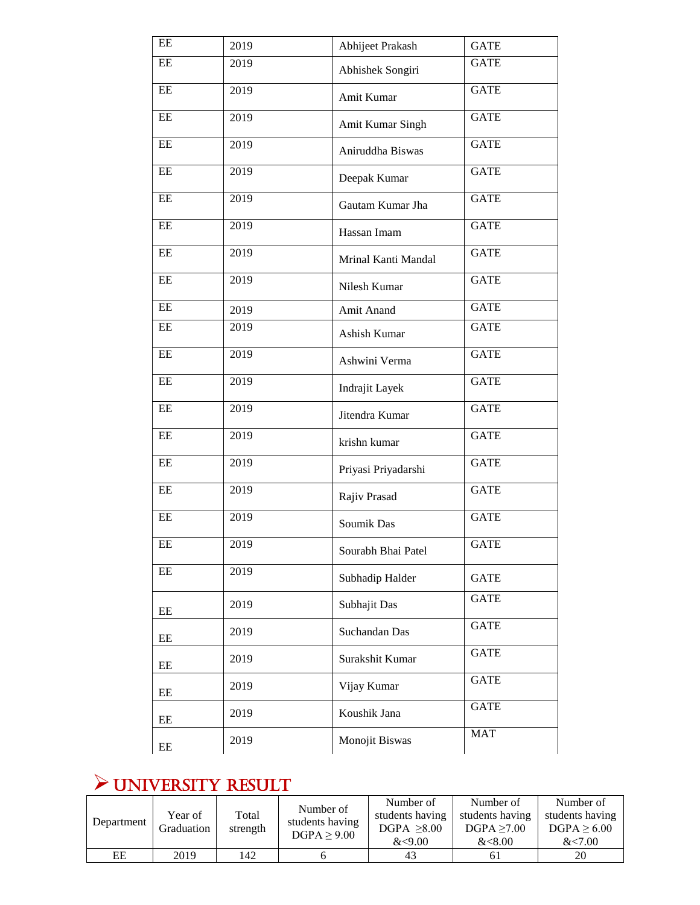| EE        | 2019 | Abhijeet Prakash    | <b>GATE</b> |
|-----------|------|---------------------|-------------|
| $\rm{EE}$ | 2019 | Abhishek Songiri    | <b>GATE</b> |
| $\rm{EE}$ | 2019 | Amit Kumar          | <b>GATE</b> |
| EE        | 2019 | Amit Kumar Singh    | <b>GATE</b> |
| $\rm{EE}$ | 2019 | Aniruddha Biswas    | <b>GATE</b> |
| $\rm{EE}$ | 2019 | Deepak Kumar        | <b>GATE</b> |
| $\rm{EE}$ | 2019 | Gautam Kumar Jha    | <b>GATE</b> |
| $\rm{EE}$ | 2019 | Hassan Imam         | <b>GATE</b> |
| $\rm{EE}$ | 2019 | Mrinal Kanti Mandal | <b>GATE</b> |
| $\rm{EE}$ | 2019 | Nilesh Kumar        | <b>GATE</b> |
| $\rm{EE}$ | 2019 | Amit Anand          | <b>GATE</b> |
| $\rm{EE}$ | 2019 | Ashish Kumar        | <b>GATE</b> |
| $\rm{EE}$ | 2019 | Ashwini Verma       | <b>GATE</b> |
| $\rm{EE}$ | 2019 | Indrajit Layek      | <b>GATE</b> |
| $\rm EE$  | 2019 | Jitendra Kumar      | <b>GATE</b> |
| $\rm{EE}$ | 2019 | krishn kumar        | <b>GATE</b> |
| $\rm{EE}$ | 2019 | Priyasi Priyadarshi | <b>GATE</b> |
| EE        | 2019 | Rajiv Prasad        | <b>GATE</b> |
| $\rm{EE}$ | 2019 | Soumik Das          | <b>GATE</b> |
| EE        | 2019 | Sourabh Bhai Patel  | <b>GATE</b> |
| EE        | 2019 | Subhadip Halder     | <b>GATE</b> |
| EE        | 2019 | Subhajit Das        | <b>GATE</b> |
| EE        | 2019 | Suchandan Das       | <b>GATE</b> |
| EE        | 2019 | Surakshit Kumar     | <b>GATE</b> |
| $\rm{EE}$ | 2019 | Vijay Kumar         | <b>GATE</b> |
| $\rm{EE}$ | 2019 | Koushik Jana        | <b>GATE</b> |
| EE        | 2019 | Monojit Biswas      | <b>MAT</b>  |

# UNIVERSITY RESULT

| Department | Year of<br>Graduation | Total<br>strength | Number of<br>students having<br>DGPA > 9.00 | Number of<br>students having<br>DGPA > 8.00<br><9.00 | Number of<br>students having<br>DGPA > 7.00<br><8.00 | Number of<br>students having<br>DGPA > 6.00<br><7.00 |
|------------|-----------------------|-------------------|---------------------------------------------|------------------------------------------------------|------------------------------------------------------|------------------------------------------------------|
| EЕ         | 2019                  | 142               |                                             | 43                                                   |                                                      | 20                                                   |